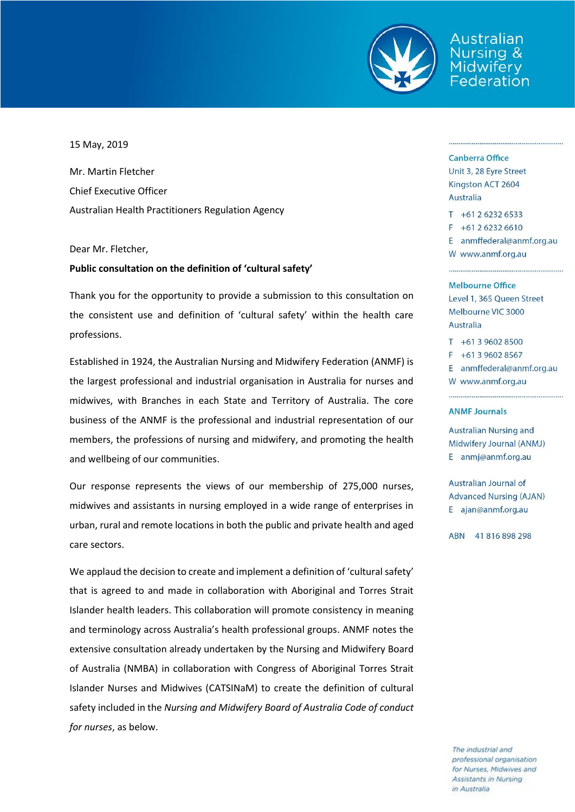

Australian rsing & ederation

## 15 May, 2019

Mr. Martin Fletcher Chief Executive Officer Australian Health Practitioners Regulation Agency

## Dear Mr. Fletcher,

## **Public consultation on the definition of 'cultural safety'**

Thank you for the opportunity to provide a submission to this consultation on the consistent use and definition of 'cultural safety' within the health care professions.

Established in 1924, the Australian Nursing and Midwifery Federation (ANMF) is the largest professional and industrial organisation in Australia for nurses and midwives, with Branches in each State and Territory of Australia. The core business of the ANMF is the professional and industrial representation of our members, the professions of nursing and midwifery, and promoting the health and wellbeing of our communities.

Our response represents the views of our membership of 275,000 nurses, midwives and assistants in nursing employed in a wide range of enterprises in urban, rural and remote locations in both the public and private health and aged care sectors.

We applaud the decision to create and implement a definition of 'cultural safety' that is agreed to and made in collaboration with Aboriginal and Torres Strait Islander health leaders. This collaboration will promote consistency in meaning and terminology across Australia's health professional groups. ANMF notes the extensive consultation already undertaken by the Nursing and Midwifery Board of Australia (NMBA) in collaboration with Congress of Aboriginal Torres Strait Islander Nurses and Midwives (CATSINaM) to create the definition of cultural safety included in the *Nursing and Midwifery Board of Australia Code of conduct for nurses*, as below.

### **Canberra Office**

Unit 3, 28 Eyre Street Kingston ACT 2604 **Australia** 

 $T + 61262326533$  $F + 61262326610$ E anmffederal@anmf.org.au W www.anmf.org.au

#### Melbourne Office

Level 1, 365 Queen Street Melbourne VIC 3000 Australia

 $T + 61396028500$  $F + 61396028567$ E anmffederal@anmf.org.au W www.anmf.org.au

### **ANMF Journals**

**Australian Nursing and** Midwifery Journal (ANMJ) E anmj@anmf.org.au

Australian Journal of **Advanced Nursing (AJAN)** E ajan@anmf.org.au

ABN 41816898298

The industrial and professional organisation for Nurses, Midwives and Assistants in Nursing in Australia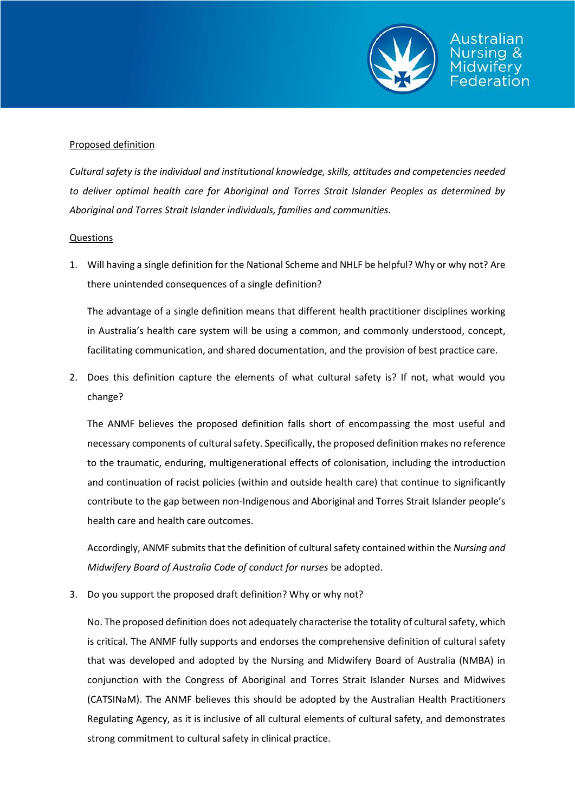

# Proposed definition

*Cultural safety is the individual and institutional knowledge, skills, attitudes and competencies needed to deliver optimal health care for Aboriginal and Torres Strait Islander Peoples as determined by Aboriginal and Torres Strait Islander individuals, families and communities.*

# Questions

1. Will having a single definition for the National Scheme and NHLF be helpful? Why or why not? Are there unintended consequences of a single definition?

The advantage of a single definition means that different health practitioner disciplines working in Australia's health care system will be using a common, and commonly understood, concept, facilitating communication, and shared documentation, and the provision of best practice care.

2. Does this definition capture the elements of what cultural safety is? If not, what would you change?

The ANMF believes the proposed definition falls short of encompassing the most useful and necessary components of cultural safety. Specifically, the proposed definition makes no reference to the traumatic, enduring, multigenerational effects of colonisation, including the introduction and continuation of racist policies (within and outside health care) that continue to significantly contribute to the gap between non-Indigenous and Aboriginal and Torres Strait Islander people's health care and health care outcomes.

Accordingly, ANMF submits that the definition of cultural safety contained within the *Nursing and Midwifery Board of Australia Code of conduct for nurses* be adopted.

3. Do you support the proposed draft definition? Why or why not?

No. The proposed definition does not adequately characterise the totality of cultural safety, which is critical. The ANMF fully supports and endorses the comprehensive definition of cultural safety that was developed and adopted by the Nursing and Midwifery Board of Australia (NMBA) in conjunction with the Congress of Aboriginal and Torres Strait Islander Nurses and Midwives (CATSINaM). The ANMF believes this should be adopted by the Australian Health Practitioners Regulating Agency, as it is inclusive of all cultural elements of cultural safety, and demonstrates strong commitment to cultural safety in clinical practice.